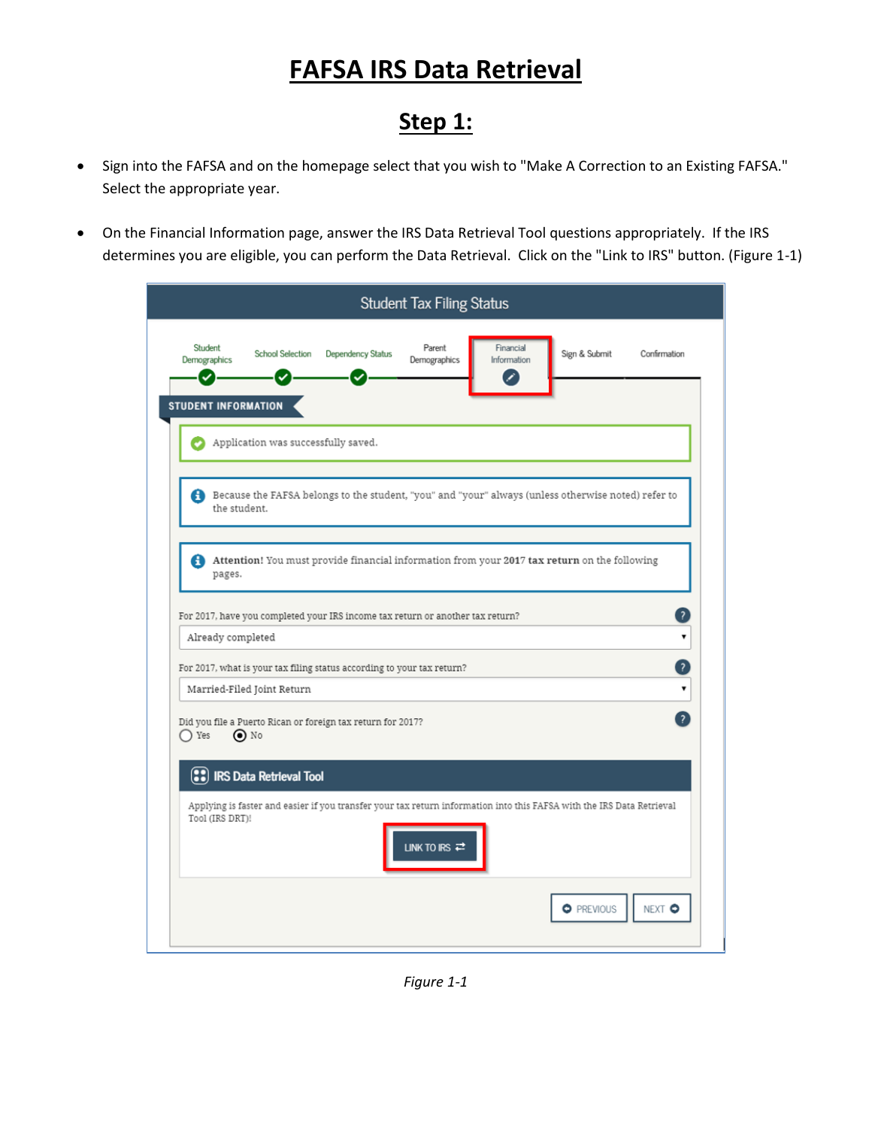# **FAFSA IRS Data Retrieval**

## **Step 1:**

- Sign into the FAFSA and on the homepage select that you wish to "Make A Correction to an Existing FAFSA." Select the appropriate year.
- On the Financial Information page, answer the IRS Data Retrieval Tool questions appropriately. If the IRS determines you are eligible, you can perform the Data Retrieval. Click on the "Link to IRS" button. (Figure 1-1)

| <b>Student Tax Filing Status</b>                                                                                                                                                                  |  |  |  |  |
|---------------------------------------------------------------------------------------------------------------------------------------------------------------------------------------------------|--|--|--|--|
| Student<br>Parent<br>Financial<br>Sign & Submit<br><b>School Selection</b><br>Dependency Status<br>Confirmation<br>Demographics<br>Demographics<br>Information<br>╱<br><b>STUDENT INFORMATION</b> |  |  |  |  |
| Application was successfully saved.                                                                                                                                                               |  |  |  |  |
| Because the FAFSA belongs to the student, "you" and "your" always (unless otherwise noted) refer to<br>the student.                                                                               |  |  |  |  |
| Attention! You must provide financial information from your 2017 tax return on the following<br>ю<br>pages.                                                                                       |  |  |  |  |
| $\overline{?}$<br>For 2017, have you completed your IRS income tax return or another tax return?<br>7<br>Already completed                                                                        |  |  |  |  |
| 2<br>For 2017, what is your tax filing status according to your tax return?                                                                                                                       |  |  |  |  |
| Married-Filed Joint Return<br>۷                                                                                                                                                                   |  |  |  |  |
| $\overline{?}$<br>Did you file a Puerto Rican or foreign tax return for 2017?<br>◯ Yes<br>$\odot$ No                                                                                              |  |  |  |  |
| <b>(:)</b> IRS Data Retrieval Tool                                                                                                                                                                |  |  |  |  |
| Applying is faster and easier if you transfer your tax return information into this FAFSA with the IRS Data Retrieval<br>Tool (IRS DRT)!<br>LINK TO IRS $\rightleftarrows$                        |  |  |  |  |
| <b>O</b> PREVIOUS<br>NEXT O                                                                                                                                                                       |  |  |  |  |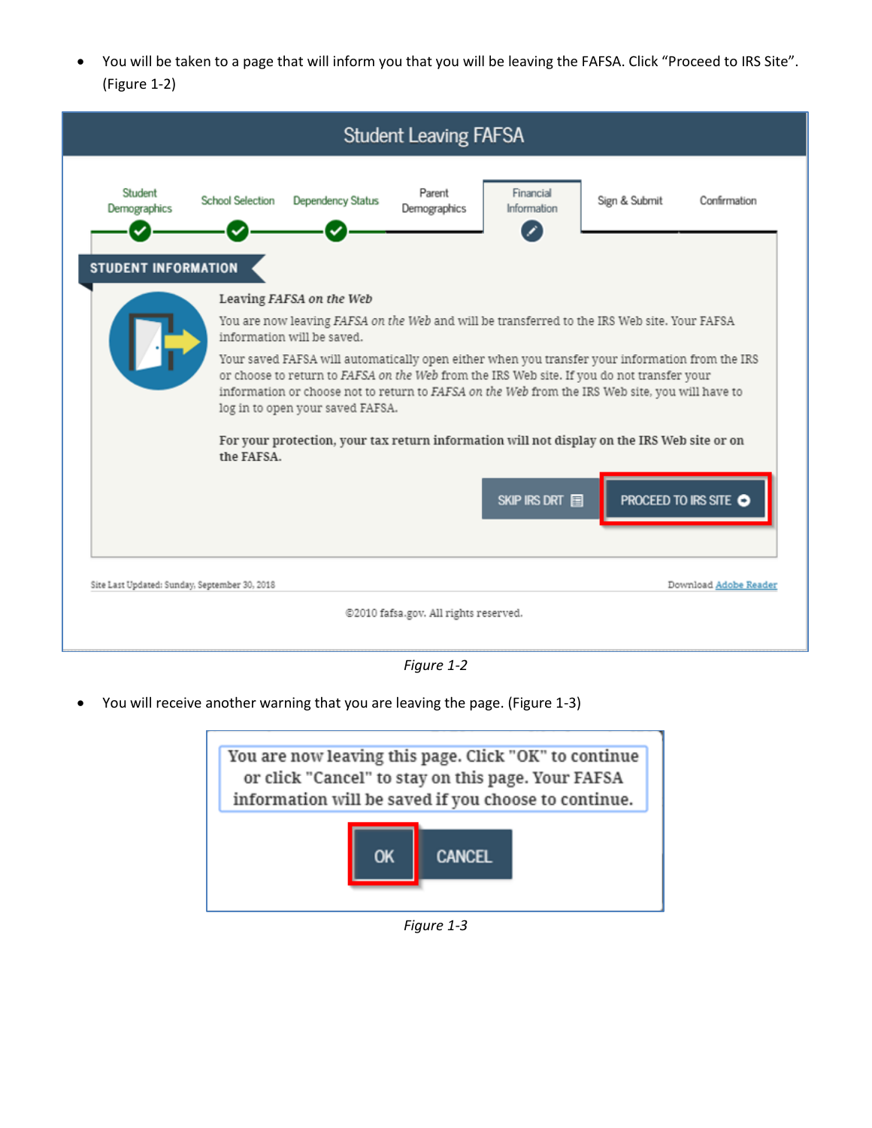You will be taken to a page that will inform you that you will be leaving the FAFSA. Click "Proceed to IRS Site". (Figure 1-2)



*Figure 1-2*

You will receive another warning that you are leaving the page. (Figure 1-3)



*Figure 1-3*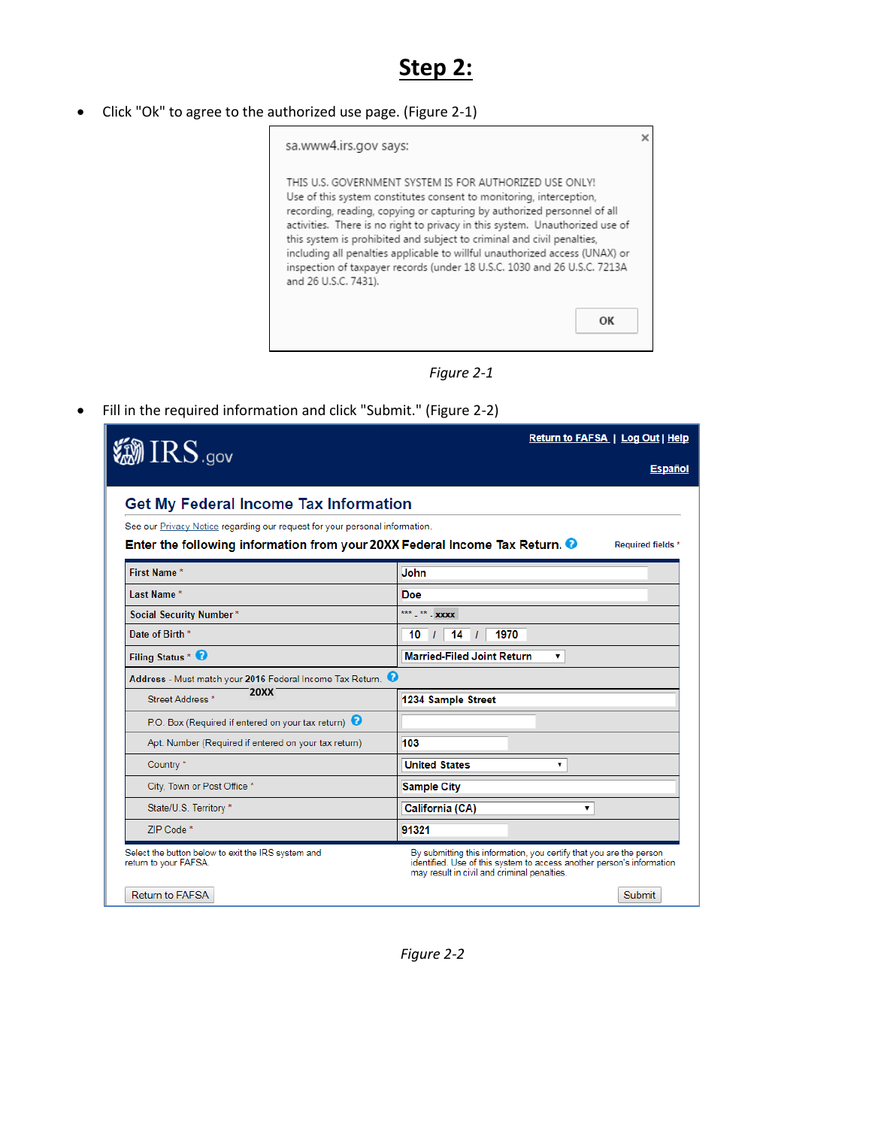Click "Ok" to agree to the authorized use page. (Figure 2-1)





Fill in the required information and click "Submit." (Figure 2-2)

| $\rm IRS_{.gov}$                                                                       | <b>Return to FAFSA   Log Out   Help</b>                                                                                                                                                     |  |  |  |  |
|----------------------------------------------------------------------------------------|---------------------------------------------------------------------------------------------------------------------------------------------------------------------------------------------|--|--|--|--|
|                                                                                        | <b>Español</b>                                                                                                                                                                              |  |  |  |  |
| <b>Get My Federal Income Tax Information</b>                                           |                                                                                                                                                                                             |  |  |  |  |
| See our Privacy Notice regarding our request for your personal information.            |                                                                                                                                                                                             |  |  |  |  |
| Enter the following information from your 20XX Federal Income Tax Return. <sup>●</sup> | <b>Required fields*</b>                                                                                                                                                                     |  |  |  |  |
| <b>First Name*</b>                                                                     | John                                                                                                                                                                                        |  |  |  |  |
| Last Name*                                                                             | Doe                                                                                                                                                                                         |  |  |  |  |
| <b>Social Security Number*</b>                                                         |                                                                                                                                                                                             |  |  |  |  |
| Date of Birth *                                                                        | 14<br>1970<br>10                                                                                                                                                                            |  |  |  |  |
| Filing Status * <sup>0</sup>                                                           | <b>Married-Filed Joint Return</b><br>۷.                                                                                                                                                     |  |  |  |  |
|                                                                                        | Address - Must match your 2016 Federal Income Tax Return.                                                                                                                                   |  |  |  |  |
| 20XX<br>Street Address <sup>*</sup>                                                    | 1234 Sample Street                                                                                                                                                                          |  |  |  |  |
| P.O. Box (Required if entered on your tax return) <sup>3</sup>                         |                                                                                                                                                                                             |  |  |  |  |
| Apt. Number (Required if entered on your tax return)                                   | 103                                                                                                                                                                                         |  |  |  |  |
| Country*                                                                               | <b>United States</b><br>7                                                                                                                                                                   |  |  |  |  |
| City, Town or Post Office *                                                            | <b>Sample City</b>                                                                                                                                                                          |  |  |  |  |
| State/U.S. Territory *                                                                 | California (CA)<br>۰,                                                                                                                                                                       |  |  |  |  |
| 7IP Code <sup>*</sup>                                                                  | 91321                                                                                                                                                                                       |  |  |  |  |
| Select the button below to exit the IRS system and<br>return to your FAFSA.            | By submitting this information, you certify that you are the person<br>identified. Use of this system to access another person's information<br>may result in civil and criminal penalties. |  |  |  |  |
| <b>Return to FAFSA</b>                                                                 | Submit                                                                                                                                                                                      |  |  |  |  |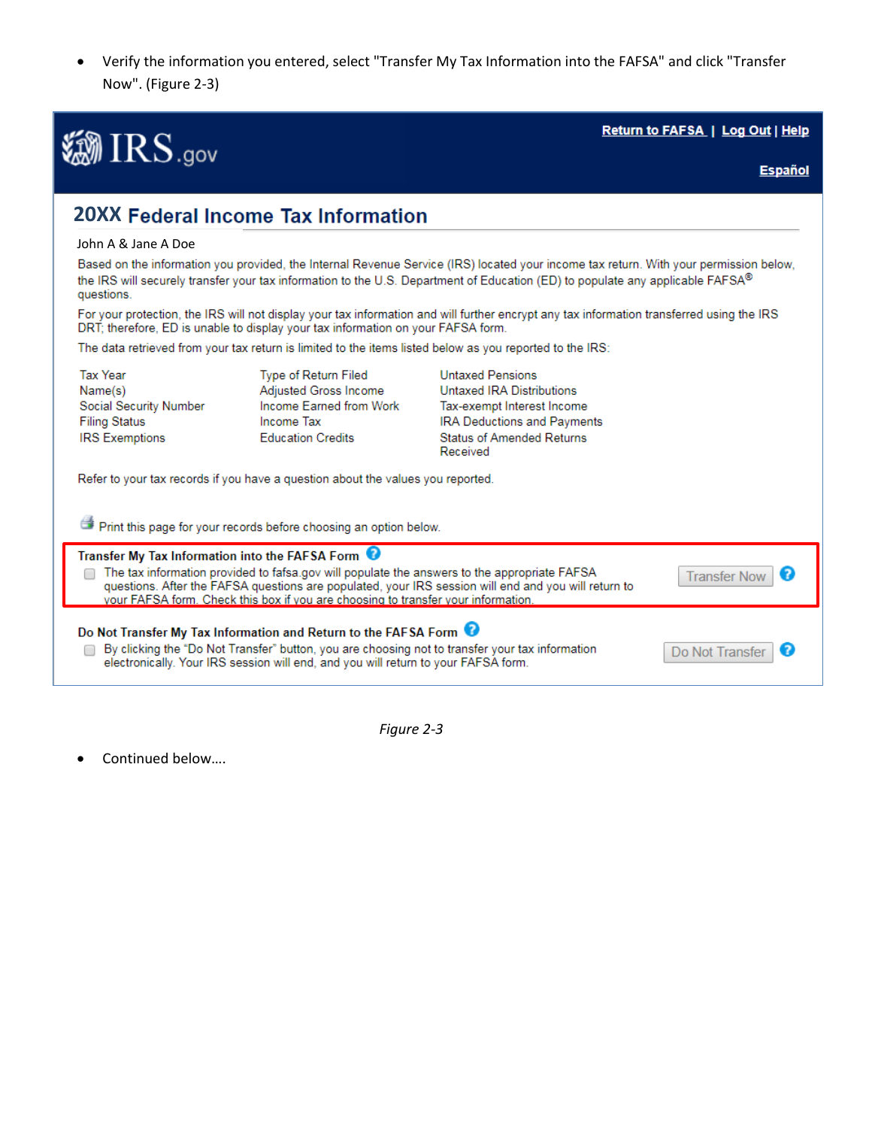Verify the information you entered, select "Transfer My Tax Information into the FAFSA" and click "Transfer Now". (Figure 2-3)



#### Return to FAFSA | Log Out | Help

### **20XX Federal Income Tax Information**

#### John A & Jane A Doe

Based on the information you provided, the Internal Revenue Service (IRS) located your income tax return. With your permission below, the IRS will securely transfer your tax information to the U.S. Department of Education (ED) to populate any applicable FAFSA® questions.

For your protection, the IRS will not display your tax information and will further encrypt any tax information transferred using the IRS DRT; therefore, ED is unable to display your tax information on your FAFSA form.

The data retrieved from your tax return is limited to the items listed below as you reported to the IRS:

| Tax Year<br>Name(s)<br>Social Security Number<br><b>Filing Status</b><br><b>IRS Exemptions</b>                                                                                                                                                                                                                                                                      | Type of Return Filed<br>Adjusted Gross Income<br>Income Earned from Work<br>Income Tax<br><b>Education Credits</b>                                                                                                                                       | <b>Untaxed Pensions</b><br>Untaxed IRA Distributions<br>Tax-exempt Interest Income<br><b>IRA Deductions and Payments</b><br><b>Status of Amended Returns</b><br>Received |                 |  |  |  |
|---------------------------------------------------------------------------------------------------------------------------------------------------------------------------------------------------------------------------------------------------------------------------------------------------------------------------------------------------------------------|----------------------------------------------------------------------------------------------------------------------------------------------------------------------------------------------------------------------------------------------------------|--------------------------------------------------------------------------------------------------------------------------------------------------------------------------|-----------------|--|--|--|
| Refer to your tax records if you have a question about the values you reported.                                                                                                                                                                                                                                                                                     |                                                                                                                                                                                                                                                          |                                                                                                                                                                          |                 |  |  |  |
| Print this page for your records before choosing an option below.                                                                                                                                                                                                                                                                                                   |                                                                                                                                                                                                                                                          |                                                                                                                                                                          |                 |  |  |  |
| Transfer My Tax Information into the FAFSA Form<br>The tax information provided to fafsa.gov will populate the answers to the appropriate FAFSA<br><b>Transfer Now</b><br>questions. After the FAFSA questions are populated, your IRS session will end and you will return to<br>your FAFSA form. Check this box if you are choosing to transfer your information. |                                                                                                                                                                                                                                                          |                                                                                                                                                                          |                 |  |  |  |
|                                                                                                                                                                                                                                                                                                                                                                     | Do Not Transfer My Tax Information and Return to the FAFSA Form<br>By clicking the "Do Not Transfer" button, you are choosing not to transfer your tax information<br>electronically. Your IRS session will end, and you will return to your FAFSA form. |                                                                                                                                                                          | Do Not Transfer |  |  |  |

*Figure 2-3*

Continued below….